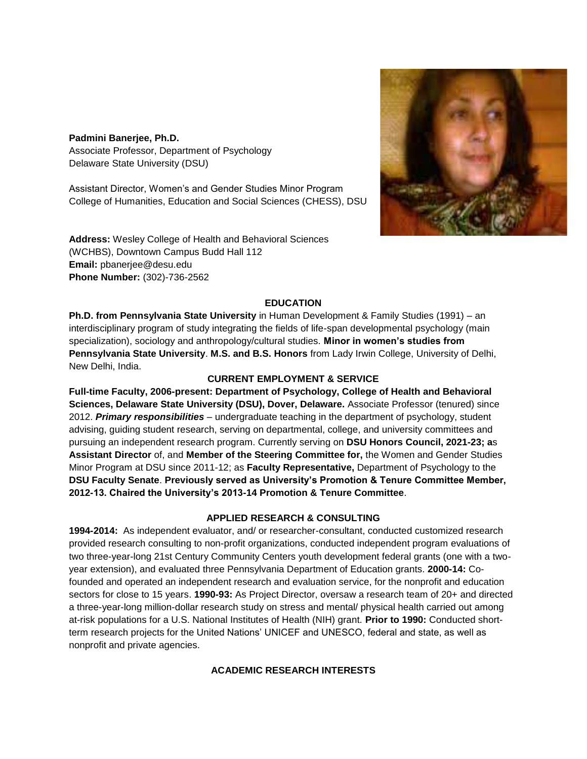## **Padmini Banerjee, Ph.D.**

Associate Professor, Department of Psychology Delaware State University (DSU)

Assistant Director, Women's and Gender Studies Minor Program College of Humanities, Education and Social Sciences (CHESS), DSU

**Address:** Wesley College of Health and Behavioral Sciences (WCHBS), Downtown Campus Budd Hall 112 **Email:** pbanerjee@desu.edu **Phone Number:** (302)-736-2562



# **EDUCATION**

**Ph.D. from Pennsylvania State University** in Human Development & Family Studies (1991) – an interdisciplinary program of study integrating the fields of life-span developmental psychology (main specialization), sociology and anthropology/cultural studies. **Minor in women's studies from Pennsylvania State University**. **M.S. and B.S. Honors** from Lady Irwin College, University of Delhi, New Delhi, India.

#### **CURRENT EMPLOYMENT & SERVICE**

**Full-time Faculty, 2006-present: Department of Psychology, College of Health and Behavioral Sciences, Delaware State University (DSU), Dover, Delaware.** Associate Professor (tenured) since 2012. *Primary responsibilities* – undergraduate teaching in the department of psychology, student advising, guiding student research, serving on departmental, college, and university committees and pursuing an independent research program. Currently serving on **DSU Honors Council, 2021-23; a**s **Assistant Director** of, and **Member of the Steering Committee for,** the Women and Gender Studies Minor Program at DSU since 2011-12; as **Faculty Representative,** Department of Psychology to the **DSU Faculty Senate**. **Previously served as University's Promotion & Tenure Committee Member, 2012-13. Chaired the University's 2013-14 Promotion & Tenure Committee**.

## **APPLIED RESEARCH & CONSULTING**

**1994-2014:** As independent evaluator, and/ or researcher-consultant, conducted customized research provided research consulting to non-profit organizations, conducted independent program evaluations of two three-year-long 21st Century Community Centers youth development federal grants (one with a twoyear extension), and evaluated three Pennsylvania Department of Education grants. **2000-14:** Cofounded and operated an independent research and evaluation service, for the nonprofit and education sectors for close to 15 years. **1990-93:** As Project Director, oversaw a research team of 20+ and directed a three-year-long million-dollar research study on stress and mental/ physical health carried out among at-risk populations for a U.S. National Institutes of Health (NIH) grant. **Prior to 1990:** Conducted shortterm research projects for the United Nations' UNICEF and UNESCO, federal and state, as well as nonprofit and private agencies.

## **ACADEMIC RESEARCH INTERESTS**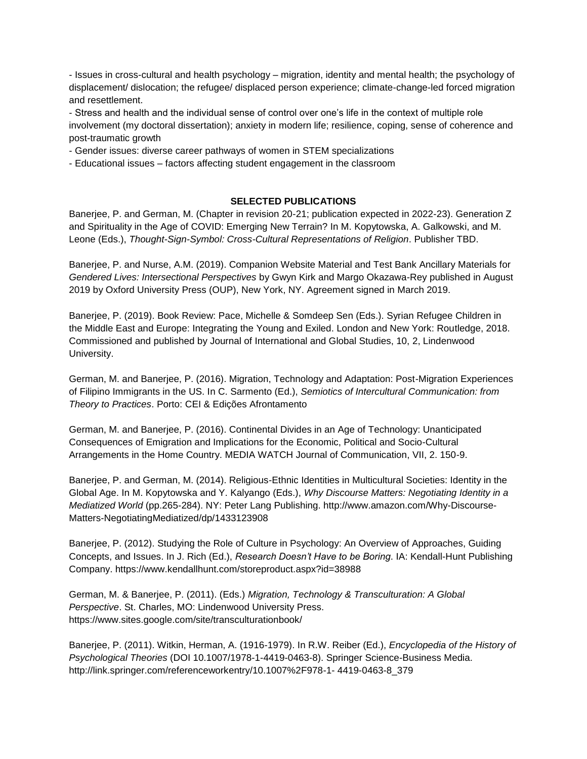- Issues in cross-cultural and health psychology – migration, identity and mental health; the psychology of displacement/ dislocation; the refugee/ displaced person experience; climate-change-led forced migration and resettlement.

- Stress and health and the individual sense of control over one's life in the context of multiple role involvement (my doctoral dissertation); anxiety in modern life; resilience, coping, sense of coherence and post-traumatic growth

- Gender issues: diverse career pathways of women in STEM specializations

- Educational issues – factors affecting student engagement in the classroom

#### **SELECTED PUBLICATIONS**

Banerjee, P. and German, M. (Chapter in revision 20-21; publication expected in 2022-23). Generation Z and Spirituality in the Age of COVID: Emerging New Terrain? In M. Kopytowska, A. Galkowski, and M. Leone (Eds.), *Thought-Sign-Symbol: Cross-Cultural Representations of Religion*. Publisher TBD.

Banerjee, P. and Nurse, A.M. (2019). Companion Website Material and Test Bank Ancillary Materials for *Gendered Lives: Intersectional Perspectives* by Gwyn Kirk and Margo Okazawa-Rey published in August 2019 by Oxford University Press (OUP), New York, NY. Agreement signed in March 2019.

Banerjee, P. (2019). Book Review: Pace, Michelle & Somdeep Sen (Eds.). Syrian Refugee Children in the Middle East and Europe: Integrating the Young and Exiled. London and New York: Routledge, 2018. Commissioned and published by Journal of International and Global Studies, 10, 2, Lindenwood University.

German, M. and Banerjee, P. (2016). Migration, Technology and Adaptation: Post-Migration Experiences of Filipino Immigrants in the US. In C. Sarmento (Ed.), *Semiotics of Intercultural Communication: from Theory to Practices*. Porto: CEI & Edições Afrontamento

German, M. and Banerjee, P. (2016). Continental Divides in an Age of Technology: Unanticipated Consequences of Emigration and Implications for the Economic, Political and Socio-Cultural Arrangements in the Home Country. MEDIA WATCH Journal of Communication, VII, 2. 150-9.

Banerjee, P. and German, M. (2014). Religious-Ethnic Identities in Multicultural Societies: Identity in the Global Age. In M. Kopytowska and Y. Kalyango (Eds.), *Why Discourse Matters: Negotiating Identity in a Mediatized World* (pp.265-284). NY: Peter Lang Publishing. http://www.amazon.com/Why-Discourse-Matters-NegotiatingMediatized/dp/1433123908

Banerjee, P. (2012). Studying the Role of Culture in Psychology: An Overview of Approaches, Guiding Concepts, and Issues. In J. Rich (Ed.), *Research Doesn't Have to be Boring*. IA: Kendall-Hunt Publishing Company. https://www.kendallhunt.com/storeproduct.aspx?id=38988

German, M. & Banerjee, P. (2011). (Eds.) *Migration, Technology & Transculturation: A Global Perspective*. St. Charles, MO: Lindenwood University Press. https://www.sites.google.com/site/transculturationbook/

Banerjee, P. (2011). Witkin, Herman, A. (1916-1979). In R.W. Reiber (Ed.), *Encyclopedia of the History of Psychological Theories* (DOI 10.1007/1978-1-4419-0463-8). Springer Science-Business Media. http://link.springer.com/referenceworkentry/10.1007%2F978-1- 4419-0463-8\_379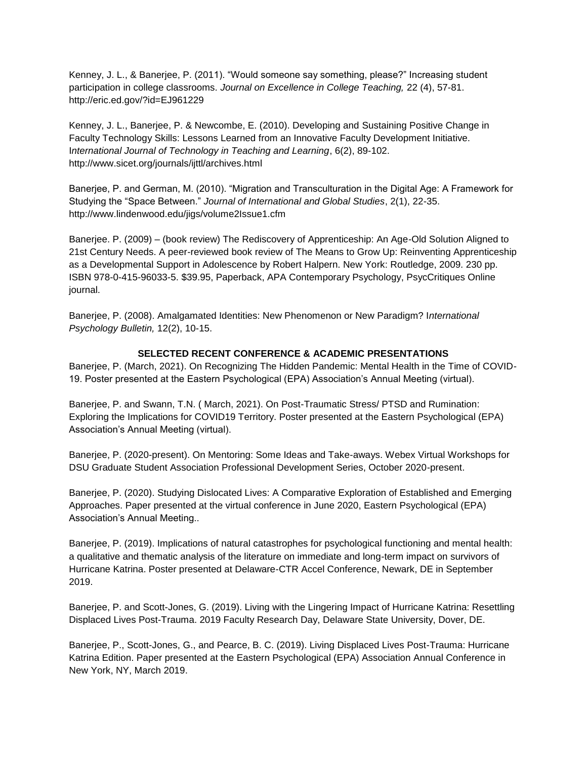Kenney, J. L., & Banerjee, P. (2011). "Would someone say something, please?" Increasing student participation in college classrooms. *Journal on Excellence in College Teaching,* 22 (4), 57-81. http://eric.ed.gov/?id=EJ961229

Kenney, J. L., Banerjee, P. & Newcombe, E. (2010). Developing and Sustaining Positive Change in Faculty Technology Skills: Lessons Learned from an Innovative Faculty Development Initiative. I*nternational Journal of Technology in Teaching and Learning*, 6(2), 89-102. http://www.sicet.org/journals/ijttl/archives.html

Banerjee, P. and German, M. (2010). "Migration and Transculturation in the Digital Age: A Framework for Studying the "Space Between." *Journal of International and Global Studies*, 2(1), 22-35. http://www.lindenwood.edu/jigs/volume2Issue1.cfm

Banerjee. P. (2009) – (book review) The Rediscovery of Apprenticeship: An Age-Old Solution Aligned to 21st Century Needs. A peer-reviewed book review of The Means to Grow Up: Reinventing Apprenticeship as a Developmental Support in Adolescence by Robert Halpern. New York: Routledge, 2009. 230 pp. ISBN 978-0-415-96033-5. \$39.95, Paperback, APA Contemporary Psychology, PsycCritiques Online journal.

Banerjee, P. (2008). Amalgamated Identities: New Phenomenon or New Paradigm? I*nternational Psychology Bulletin,* 12(2), 10-15.

## **SELECTED RECENT CONFERENCE & ACADEMIC PRESENTATIONS**

Banerjee, P. (March, 2021). On Recognizing The Hidden Pandemic: Mental Health in the Time of COVID-19. Poster presented at the Eastern Psychological (EPA) Association's Annual Meeting (virtual).

Banerjee, P. and Swann, T.N. ( March, 2021). On Post-Traumatic Stress/ PTSD and Rumination: Exploring the Implications for COVID19 Territory. Poster presented at the Eastern Psychological (EPA) Association's Annual Meeting (virtual).

Banerjee, P. (2020-present). On Mentoring: Some Ideas and Take-aways. Webex Virtual Workshops for DSU Graduate Student Association Professional Development Series, October 2020-present.

Banerjee, P. (2020). Studying Dislocated Lives: A Comparative Exploration of Established and Emerging Approaches. Paper presented at the virtual conference in June 2020, Eastern Psychological (EPA) Association's Annual Meeting..

Banerjee, P. (2019). Implications of natural catastrophes for psychological functioning and mental health: a qualitative and thematic analysis of the literature on immediate and long-term impact on survivors of Hurricane Katrina. Poster presented at Delaware-CTR Accel Conference, Newark, DE in September 2019.

Banerjee, P. and Scott-Jones, G. (2019). Living with the Lingering Impact of Hurricane Katrina: Resettling Displaced Lives Post-Trauma. 2019 Faculty Research Day, Delaware State University, Dover, DE.

Banerjee, P., Scott-Jones, G., and Pearce, B. C. (2019). Living Displaced Lives Post-Trauma: Hurricane Katrina Edition. Paper presented at the Eastern Psychological (EPA) Association Annual Conference in New York, NY, March 2019.